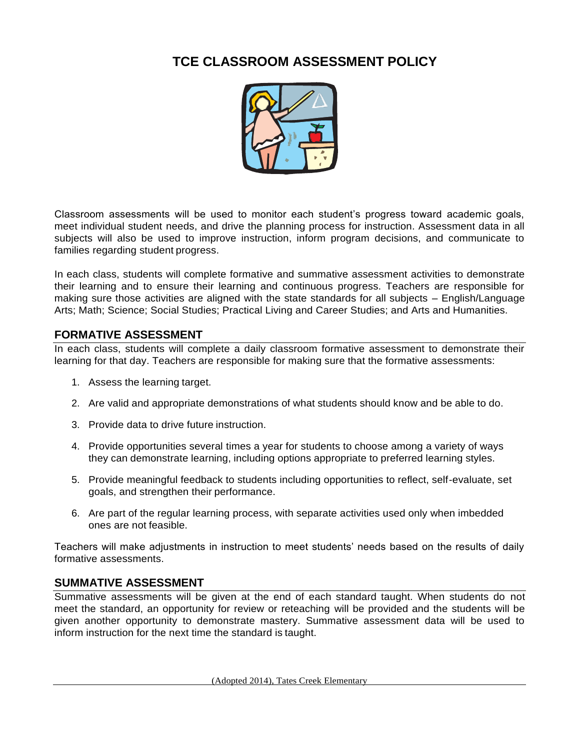# **TCE CLASSROOM ASSESSMENT POLICY**



Classroom assessments will be used to monitor each student's progress toward academic goals, meet individual student needs, and drive the planning process for instruction. Assessment data in all subjects will also be used to improve instruction, inform program decisions, and communicate to families regarding student progress.

In each class, students will complete formative and summative assessment activities to demonstrate their learning and to ensure their learning and continuous progress. Teachers are responsible for making sure those activities are aligned with the state standards for all subjects – English/Language Arts; Math; Science; Social Studies; Practical Living and Career Studies; and Arts and Humanities.

# **FORMATIVE ASSESSMENT**

In each class, students will complete a daily classroom formative assessment to demonstrate their learning for that day. Teachers are responsible for making sure that the formative assessments:

- 1. Assess the learning target.
- 2. Are valid and appropriate demonstrations of what students should know and be able to do.
- 3. Provide data to drive future instruction.
- 4. Provide opportunities several times a year for students to choose among a variety of ways they can demonstrate learning, including options appropriate to preferred learning styles.
- 5. Provide meaningful feedback to students including opportunities to reflect, self-evaluate, set goals, and strengthen their performance.
- 6. Are part of the regular learning process, with separate activities used only when imbedded ones are not feasible.

Teachers will make adjustments in instruction to meet students' needs based on the results of daily formative assessments.

# **SUMMATIVE ASSESSMENT**

Summative assessments will be given at the end of each standard taught. When students do not meet the standard, an opportunity for review or reteaching will be provided and the students will be given another opportunity to demonstrate mastery. Summative assessment data will be used to inform instruction for the next time the standard is taught.

(Adopted 2014), Tates Creek Elementary